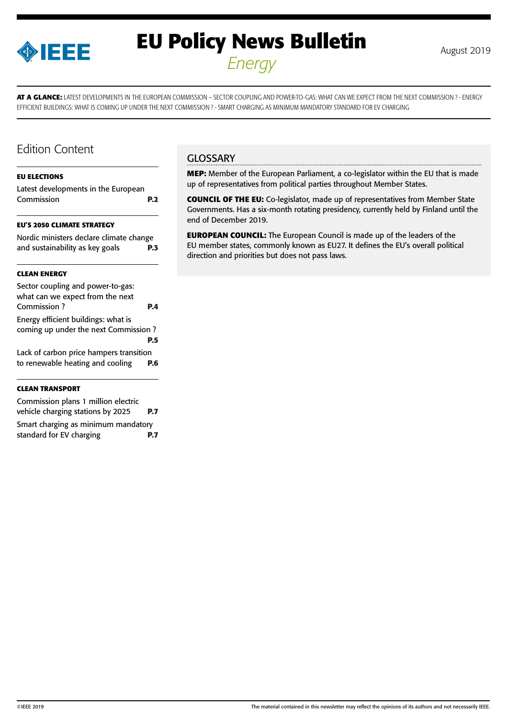

# **EU Policy News Bulletin** August 2019 *Energy*

**AT A GLANCE:** LATEST DEVELOPMENTS IN THE EUROPEAN COMMISSION – SECTOR COUPLING AND POWER-TO-GAS: WHAT CAN WE EXPECT FROM THE NEXT COMMISSION ? - ENERGY EFFICIENT BUILDINGS: WHAT IS COMING UP UNDER THE NEXT COMMISSION ? - SMART CHARGING AS MINIMUM MANDATORY STANDARD FOR EV CHARGING

### Edition Content

#### **[EU ELECTIONS](#page-1-0)**

[Latest developments in the European](#page-1-0)  [Commission](#page-1-0) **P.2**

#### **[EU'S 2050 CLIMATE STRATEGY](#page-2-0)**

| Nordic ministers declare climate change |            |
|-----------------------------------------|------------|
| and sustainability as key goals         | <b>P.3</b> |

#### **[CLEAN ENERGY](#page-3-0)**

| Sector coupling and power-to-gas:                |     |
|--------------------------------------------------|-----|
| what can we expect from the next<br>Commission ? |     |
|                                                  | PА  |
| Energy efficient buildings: what is              |     |
| coming up under the next Commission?             |     |
|                                                  | PБ  |
| Lack of carbon price hampers transition          |     |
| to renewable heating and cooling                 | P.6 |
|                                                  |     |

#### **[CLEAN TRANSPORT](#page-6-0)**

| Commission plans 1 million electric |            |
|-------------------------------------|------------|
| vehicle charging stations by 2025   | <b>P.7</b> |
| Smart charging as minimum mandatory |            |
| standard for EV charging            | P.7        |

### **GLOSSARY**

**MEP:** Member of the European Parliament, a co-legislator within the EU that is made up of representatives from political parties throughout Member States.

**COUNCIL OF THE EU:** Co-legislator, made up of representatives from Member State Governments. Has a six-month rotating presidency, currently held by Finland until the end of December 2019.

**EUROPEAN COUNCIL:** The European Council is made up of the leaders of the EU member states, commonly known as EU27. It defines the EU's overall political direction and priorities but does not pass laws.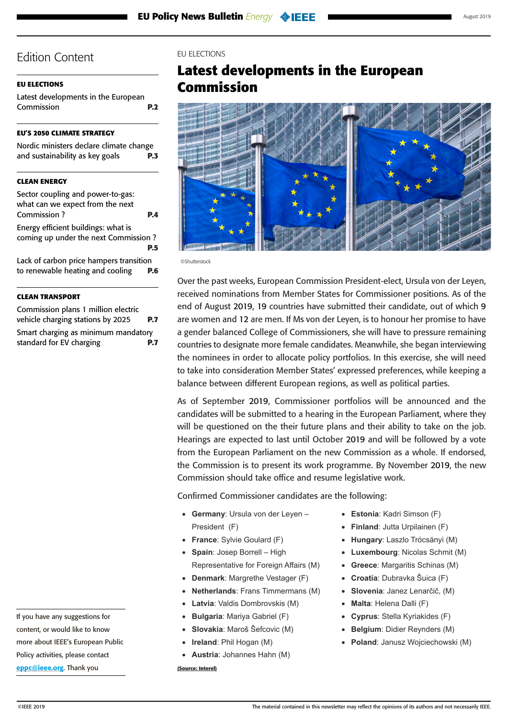### <span id="page-1-0"></span>**EU ELECTIONS**

Latest developments in the European Commission **P.2**

### **[EU'S 2050 CLIMATE STRATEGY](#page-2-0)**

| Nordic ministers declare climate change |            |
|-----------------------------------------|------------|
| and sustainability as key goals         | <b>P.3</b> |

### **[CLEAN ENERGY](#page-3-0)**

| Sector coupling and power-to-gas:       |            |
|-----------------------------------------|------------|
| what can we expect from the next        |            |
| Commission ?                            | <b>P.4</b> |
| Energy efficient buildings: what is     |            |
| coming up under the next Commission?    |            |
|                                         | P.5        |
| Lack of carbon price hampers transition |            |
| to renewable heating and cooling        | P.6        |

### **[CLEAN TRANSPORT](#page-6-0)**

[Commission plans 1 million electric](#page-6-0)  [vehicle charging stations by 2025](#page-6-0) **P.7** [Smart charging as minimum mandatory](#page-6-0)  [standard for EV charging](#page-6-0) **P.7**

EU ELECTIONS

## **Latest developments in the European Commission**



©Shutterstock

Over the past weeks, European Commission President-elect, Ursula von der Leyen, received nominations from Member States for Commissioner positions. As of the end of August 2019, 19 countries have submitted their candidate, out of which 9 are women and 12 are men. If Ms von der Leyen, is to honour her promise to have a gender balanced College of Commissioners, she will have to pressure remaining countries to designate more female candidates. Meanwhile, she began interviewing the nominees in order to allocate policy portfolios. In this exercise, she will need to take into consideration Member States' expressed preferences, while keeping a balance between different European regions, as well as political parties.

As of September 2019, Commissioner portfolios will be announced and the candidates will be submitted to a hearing in the European Parliament, where they will be questioned on the their future plans and their ability to take on the job. Hearings are expected to last until October 2019 and will be followed by a vote from the European Parliament on the new Commission as a whole. If endorsed, the Commission is to present its work programme. By November 2019, the new Commission should take office and resume legislative work.

Confirmed Commissioner candidates are the following:

- • **Germany**: Ursula von der Leyen President (F)
- • **France**: Sylvie Goulard (F)
- • **Spain**: Josep Borrell High Representative for Foreign Affairs (M)
- • **Denmark**: Margrethe Vestager (F)
- **Netherlands: Frans Timmermans (M)**
- **Latvia:** Valdis Dombrovskis (M)
- • **Bulgaria**: Mariya Gabriel (F)
- • **Slovakia**: Maroš Šefcovic (M)
- **Ireland: Phil Hogan (M)**
- • **Austria**: Johannes Hahn (M) **(Source: Interel)**
- • **Estonia**: Kadri Simson (F)
- • **Finland**: Jutta Urpilainen (F)
- • **Hungary**: Laszlo Trócsányi (M)
- **Luxembourg: Nicolas Schmit (M)**
- • **Greece**: Margaritis Schinas (M)
- • **Croatia**: Dubravka Šuica (F)
- • **Slovenia**: Janez Lenarčič, (M)
- • **Malta**: Helena Dalli (F)
- • **Cyprus**: Stella Kyriakides (F)
- **Belgium: Didier Reynders (M)**
- • **Poland**: Janusz Wojciechowski (M)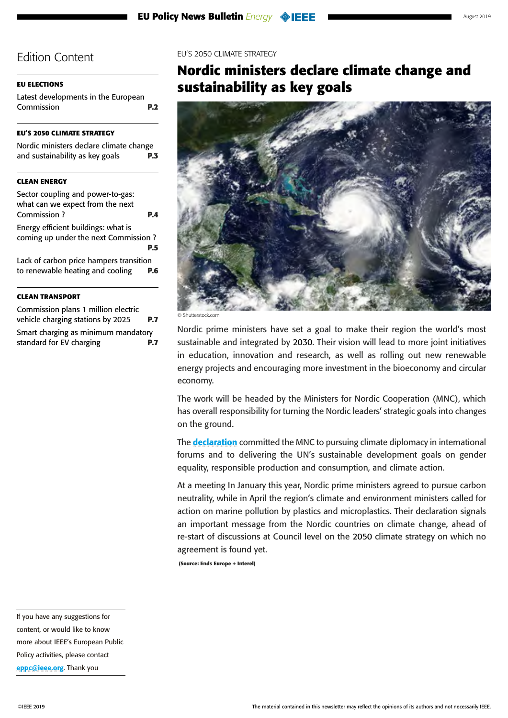### <span id="page-2-0"></span>**[EU ELECTIONS](#page-1-0)**

[Latest developments in the European](#page-1-0)  [Commission](#page-1-0) **P.2**

### **EU'S 2050 CLIMATE STRATEGY**

Nordic ministers declare climate change and sustainability as key goals **P.3**

### **[CLEAN ENERGY](#page-3-0)**

| Sector coupling and power-to-gas:<br>what can we expect from the next       |            |
|-----------------------------------------------------------------------------|------------|
| Commission?                                                                 | P.A        |
| Energy efficient buildings: what is<br>coming up under the next Commission? | <b>P.5</b> |
| Lack of carbon price hampers transition<br>to renewable heating and cooling |            |

### **[CLEAN TRANSPORT](#page-6-0)**

[Commission plans 1 million electric](#page-6-0)  [vehicle charging stations by 2025](#page-6-0) **P.7** [Smart charging as minimum mandatory](#page-6-0)  [standard for EV charging](#page-6-0) **P.7**

#### EU'S 2050 CLIMATE STRATEGY

## **Nordic ministers declare climate change and sustainability as key goals**



© Shutterstock.com

Nordic prime ministers have set a goal to make their region the world's most sustainable and integrated by 2030. Their vision will lead to more joint initiatives in education, innovation and research, as well as rolling out new renewable energy projects and encouraging more investment in the bioeconomy and circular economy.

The work will be headed by the Ministers for Nordic Cooperation (MNC), which has overall responsibility for turning the Nordic leaders' strategic goals into changes on the ground.

The **[declaration](https://www.norden.org/en/nyhed/prime-ministers-call-integration-and-focus-climate)** committed the MNC to pursuing climate diplomacy in international forums and to delivering the UN's sustainable development goals on gender equality, responsible production and consumption, and climate action.

At a meeting In January this year, Nordic prime ministers agreed to pursue carbon neutrality, while in April the region's climate and environment ministers called for action on marine pollution by plastics and microplastics. Their declaration signals an important message from the Nordic countries on climate change, ahead of re-start of discussions at Council level on the 2050 climate strategy on which no agreement is found yet.

 **(Source: Ends Europe + Interel)**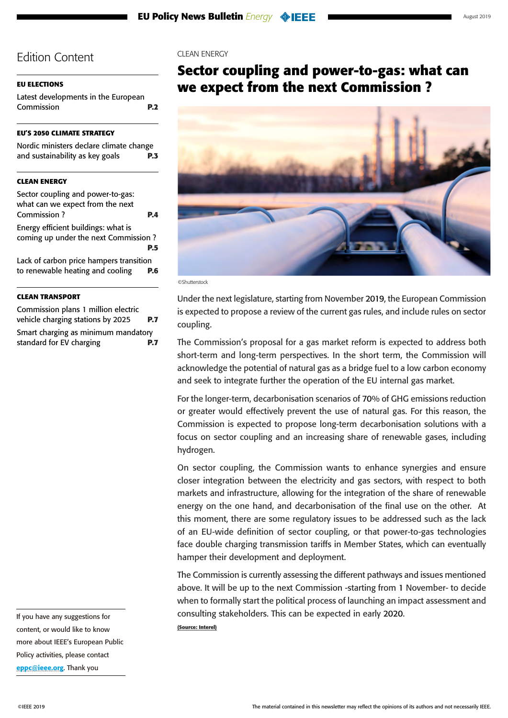### <span id="page-3-0"></span>**[EU ELECTIONS](#page-1-0)**

[Latest developments in the European](#page-1-0)  [Commission](#page-1-0) **P.2**

### **[EU'S 2050 CLIMATE STRATEGY](#page-2-0)**

[Nordic ministers declare climate change](#page-2-0)  [and sustainability as key goals](#page-2-0) **P.3**

### **CLEAN ENERGY**

| Sector coupling and power-to-gas:       |            |
|-----------------------------------------|------------|
| what can we expect from the next        |            |
| Commission ?                            | ÞД         |
| Energy efficient buildings: what is     |            |
| coming up under the next Commission?    |            |
|                                         | <b>P.5</b> |
| Lack of carbon price hampers transition |            |
| to renewable heating and cooling        | P.6        |
|                                         |            |

### **[CLEAN TRANSPORT](#page-6-0)**

[Commission plans 1 million electric](#page-6-0)  [vehicle charging stations by 2025](#page-6-0) **P.7** [Smart charging as minimum mandatory](#page-6-0)  [standard for EV charging](#page-6-0) **P.7** CLEAN ENERGY

## **Sector coupling and power-to-gas: what can we expect from the next Commission ?**



©Shutterstock

Under the next legislature, starting from November 2019, the European Commission is expected to propose a review of the current gas rules, and include rules on sector coupling.

The Commission's proposal for a gas market reform is expected to address both short-term and long-term perspectives. In the short term, the Commission will acknowledge the potential of natural gas as a bridge fuel to a low carbon economy and seek to integrate further the operation of the EU internal gas market.

For the longer-term, decarbonisation scenarios of 70% of GHG emissions reduction or greater would effectively prevent the use of natural gas. For this reason, the Commission is expected to propose long-term decarbonisation solutions with a focus on sector coupling and an increasing share of renewable gases, including hydrogen.

On sector coupling, the Commission wants to enhance synergies and ensure closer integration between the electricity and gas sectors, with respect to both markets and infrastructure, allowing for the integration of the share of renewable energy on the one hand, and decarbonisation of the final use on the other. At this moment, there are some regulatory issues to be addressed such as the lack of an EU-wide definition of sector coupling, or that power-to-gas technologies face double charging transmission tariffs in Member States, which can eventually hamper their development and deployment.

The Commission is currently assessing the different pathways and issues mentioned above. It will be up to the next Commission -starting from 1 November- to decide when to formally start the political process of launching an impact assessment and consulting stakeholders. This can be expected in early 2020.

**(Source: Interel)**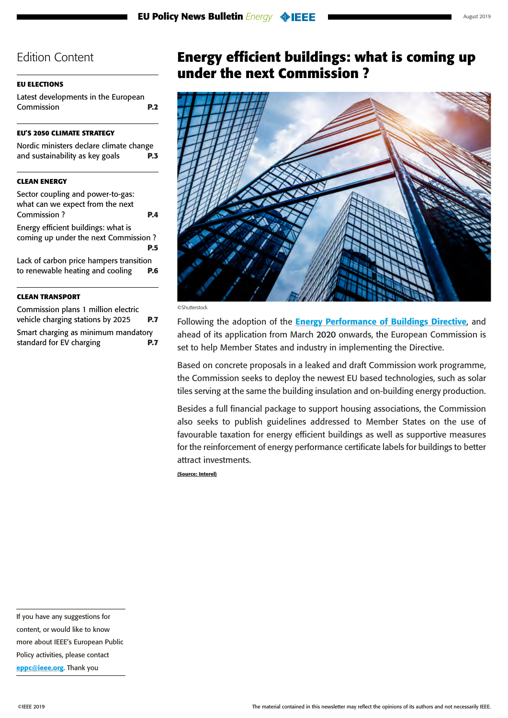### <span id="page-4-0"></span>**[EU ELECTIONS](#page-1-0)**

[Latest developments in the European](#page-1-0)  [Commission](#page-1-0) **P.2**

### **[EU'S 2050 CLIMATE STRATEGY](#page-2-0)**

| Nordic ministers declare climate change |            |
|-----------------------------------------|------------|
| and sustainability as key goals         | <b>P.3</b> |

### **[CLEAN ENERGY](#page-3-0)**

| Sector coupling and power-to-gas:<br>what can we expect from the next                     |  |
|-------------------------------------------------------------------------------------------|--|
| Commission?<br>P.A                                                                        |  |
| Energy efficient buildings: what is<br>coming up under the next Commission?<br><b>P.5</b> |  |
| Lack of carbon price hampers transition<br>to renewable heating and cooling<br>P.6        |  |

### **[CLEAN TRANSPORT](#page-6-0)**

[Commission plans 1 million electric](#page-6-0)  [vehicle charging stations by 2025](#page-6-0) **P.7** [Smart charging as minimum mandatory](#page-6-0)  [standard for EV charging](#page-6-0) **P.7**

## **Energy efficient buildings: what is coming up under the next Commission ?**



©Shutterstock

Following the adoption of the **[Energy Performance of Buildings Directive](https://eur-lex.europa.eu/legal-content/EN/TXT/?uri=uriserv%3AOJ.L_.2018.156.01.0075.01.ENG)**, and ahead of its application from March 2020 onwards, the European Commission is set to help Member States and industry in implementing the Directive.

Based on concrete proposals in a leaked and draft Commission work programme, the Commission seeks to deploy the newest EU based technologies, such as solar tiles serving at the same the building insulation and on-building energy production.

Besides a full financial package to support housing associations, the Commission also seeks to publish guidelines addressed to Member States on the use of favourable taxation for energy efficient buildings as well as supportive measures for the reinforcement of energy performance certificate labels for buildings to better attract investments.

**(Source: Interel)**

If you have any suggestions for content, or would like to know more about IEEE's European Public

[eppc@ieee.org](mailto:eppc%40ieee.org?subject=). Thank you

Policy activities, please contact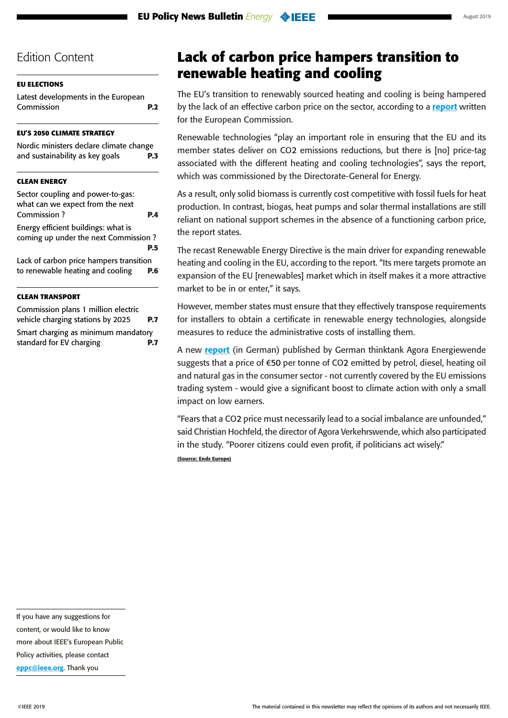### <span id="page-5-0"></span>**[EU ELECTIONS](#page-1-0)**

[Latest developments in the European](#page-1-0)  [Commission](#page-1-0) **P.2**

### **[EU'S 2050 CLIMATE STRATEGY](#page-2-0)**

[Nordic ministers declare climate change](#page-2-0)  [and sustainability as key goals](#page-2-0) **P.3**

### **[CLEAN ENERGY](#page-3-0)**

| Sector coupling and power-to-gas:<br>what can we expect from the next                     |  |
|-------------------------------------------------------------------------------------------|--|
| Commission?<br><b>P.4</b>                                                                 |  |
| Energy efficient buildings: what is<br>coming up under the next Commission?<br><b>P.5</b> |  |
| Lack of carbon price hampers transition<br>to renewable heating and cooling<br>P.6        |  |

#### **[CLEAN TRANSPORT](#page-6-0)**

[Commission plans 1 million electric](#page-6-0)  [vehicle charging stations by 2025](#page-6-0) **P.7** [Smart charging as minimum mandatory](#page-6-0)  [standard for EV charging](#page-6-0) **P.7**

## **Lack of carbon price hampers transition to renewable heating and cooling**

The EU's transition to renewably sourced heating and cooling is being hampered by the lack of an effective carbon price on the sector, according to a [report](https://ec.europa.eu/energy/en/studies/competitiveness-renewable-energy-sector) written for the European Commission.

Renewable technologies "play an important role in ensuring that the EU and its member states deliver on CO2 emissions reductions, but there is [no] price-tag associated with the different heating and cooling technologies", says the report, which was commissioned by the Directorate-General for Energy.

As a result, only solid biomass is currently cost competitive with fossil fuels for heat production. In contrast, biogas, heat pumps and solar thermal installations are still reliant on national support schemes in the absence of a functioning carbon price, the report states.

The recast Renewable Energy Directive is the main driver for expanding renewable heating and cooling in the EU, according to the report. "Its mere targets promote an expansion of the EU [renewables] market which in itself makes it a more attractive market to be in or enter," it says.

However, member states must ensure that they effectively transpose requirements for installers to obtain a certificate in renewable energy technologies, alongside measures to reduce the administrative costs of installing them.

A new [report](https://www.agora-energiewende.de/fileadmin2/Projekte/2017/Abgaben_Umlagen/CO2-Rueckverteilungsstudie/Agora-Verkehrswende_Agora-Energiewende_CO2-Bepreisung_WEB.pdf) (in German) published by German thinktank Agora Energiewende suggests that a price of €50 per tonne of CO2 emitted by petrol, diesel, heating oil and natural gas in the consumer sector - not currently covered by the EU emissions trading system - would give a significant boost to climate action with only a small impact on low earners.

"Fears that a CO2 price must necessarily lead to a social imbalance are unfounded," said Christian Hochfeld, the director of Agora Verkehrswende, which also participated in the study. "Poorer citizens could even profit, if politicians act wisely." **(Source: Ends Europe)**